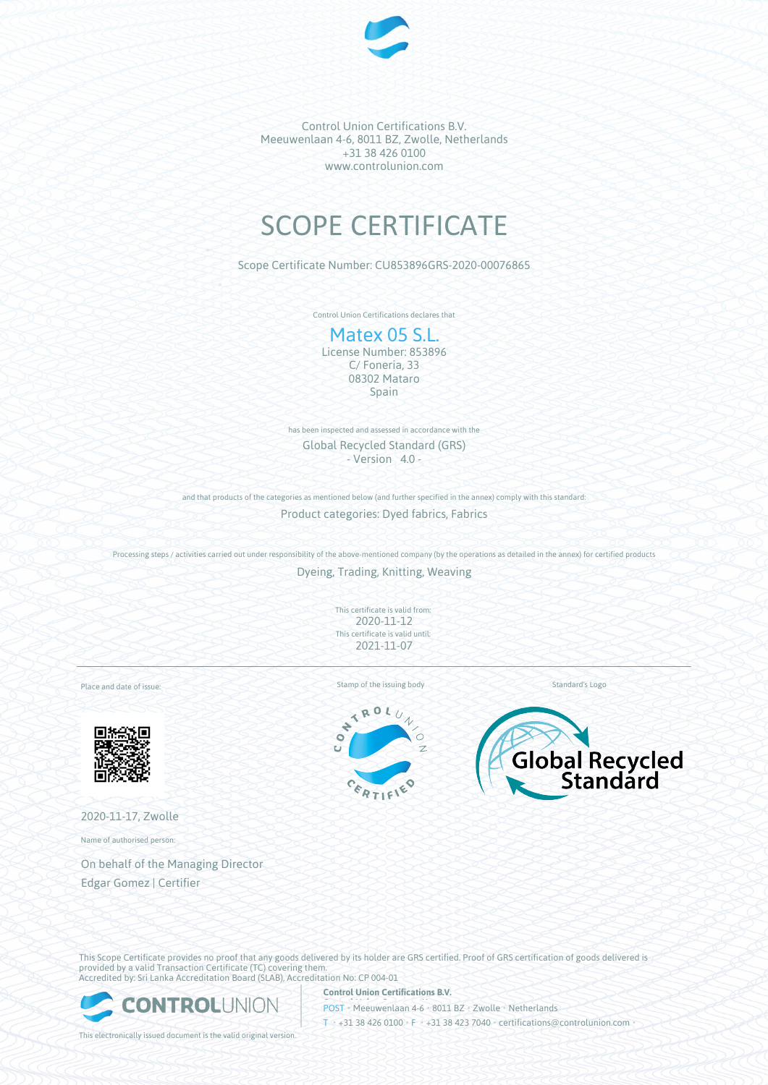

Control Union Certifications B.V. Meeuwenlaan 4-6, 8011 BZ, Zwolle, Netherlands +31 38 426 0100 www.controlunion.com

# SCOPE CERTIFICATE

Scope Certificate Number: CU853896GRS-2020-00076865

Control Union Certifications declares that

## Matex 05 S.L. License Number: 853896

C/ Foneria, 33 08302 Mataro Spain

has been inspected and assessed in accordance with the Global Recycled Standard (GRS) - Version 4.0 -

and that products of the categories as mentioned below (and further specified in the annex) comply with this standard:

Product categories: Dyed fabrics, Fabrics

Processing steps / activities carried out under responsibility of the above-mentioned company (by the operations as detailed in the annex) for certified products

Dyeing, Trading, Knitting, Weaving

This certificate is valid from: 2020-11-12 This certificate is valid until: 2021-11-07

Place and date of issue:



2020-11-17, Zwolle

Name of authorised person:

On behalf of the Managing Director Edgar Gomez | Certifier

Stamp of the issuing body Standard's Logo

ROL  $\mathcal{T}$ 

 $\overline{\mathbf{X}}$  $\ddot{\phantom{0}}$  $\bullet$ Ŧ.





This Scope Certificate provides no proof that any goods delivered by its holder are GRS certified. Proof of GRS certification of goods delivered is provided by a valid Transaction Certificate (TC) covering them. Accredited by: Sri Lanka Accreditation Board (SLAB), Accreditation No: CP 004-01



**Control Union Certifications B.V.** POST • Meeuwenlaan 4-6 • 8011 BZ • Zwolle • Netherlands T • +31 38 426 0100 • F • +31 38 423 7040 • certifications@controlunion.com •

This electronically issued document is the valid original version.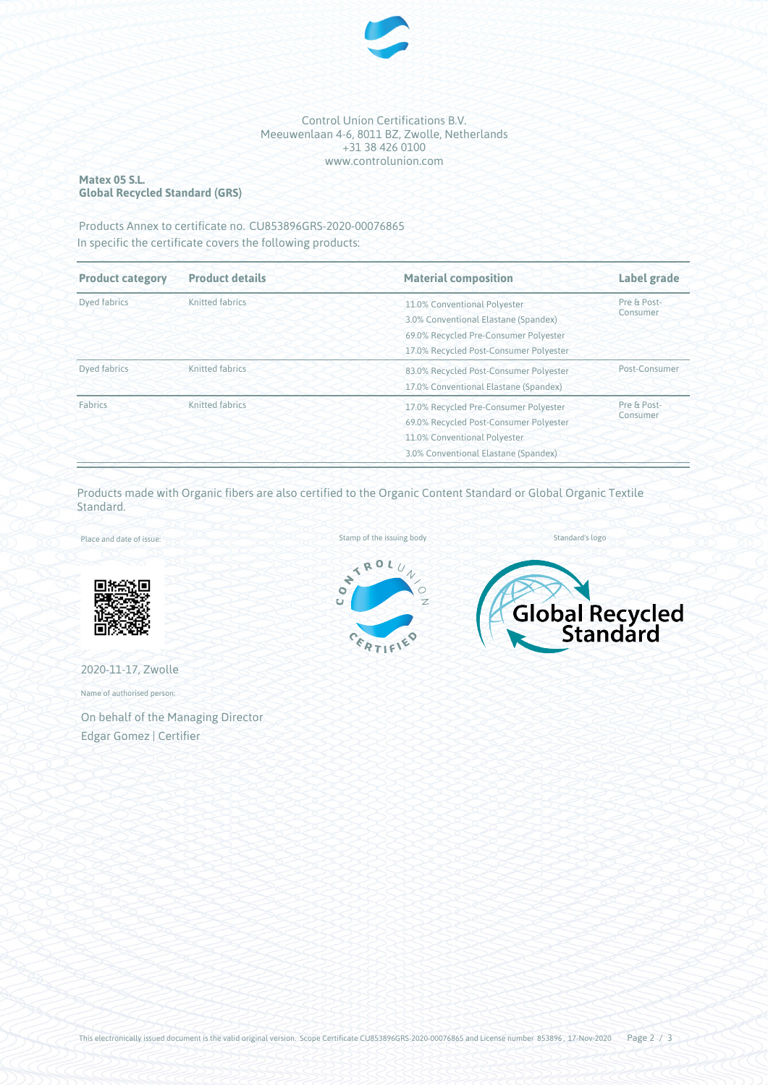

#### Control Union Certifications B.V. Meeuwenlaan 4-6, 8011 BZ, Zwolle, Netherlands +31 38 426 0100 www.controlunion.com

## **Matex 05 S.L. Global Recycled Standard (GRS)**

Products Annex to certificate no. CU853896GRS-2020-00076865 In specific the certificate covers the following products:

| <b>Product category</b><br><b>Product details</b> |                 | <b>Material composition</b>            | Label grade             |  |
|---------------------------------------------------|-----------------|----------------------------------------|-------------------------|--|
| <b>Dyed fabrics</b>                               | Knitted fabrics | 11.0% Conventional Polyester           | Pre & Post-<br>Consumer |  |
|                                                   |                 | 3.0% Conventional Elastane (Spandex)   |                         |  |
|                                                   |                 | 69.0% Recycled Pre-Consumer Polyester  |                         |  |
|                                                   |                 | 17.0% Recycled Post-Consumer Polyester |                         |  |
| Dyed fabrics                                      | Knitted fabrics | 83.0% Recycled Post-Consumer Polyester | Post-Consumer           |  |
|                                                   |                 | 17.0% Conventional Elastane (Spandex)  |                         |  |
| Fabrics                                           | Knitted fabrics | 17.0% Recycled Pre-Consumer Polyester  | Pre & Post-             |  |
|                                                   |                 | 69.0% Recycled Post-Consumer Polyester | Consumer                |  |
|                                                   |                 | 11.0% Conventional Polyester           |                         |  |
|                                                   |                 | 3.0% Conventional Elastane (Spandex)   |                         |  |

Products made with Organic fibers are also certified to the Organic Content Standard or Global Organic Textile Standard.

Place and date of issue:



2020-11-17, Zwolle

Name of authorised person:

On behalf of the Managing Director Edgar Gomez | Certifier